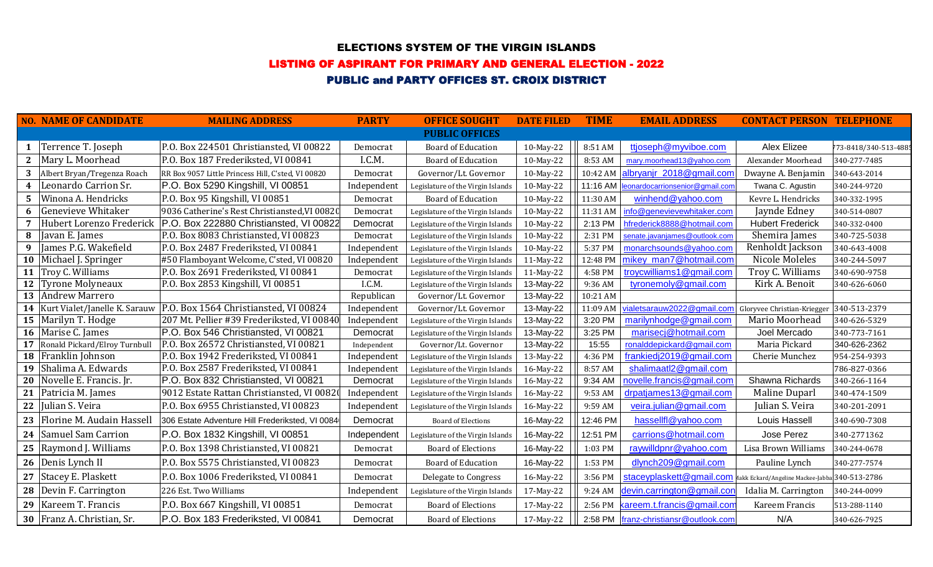### ELECTIONS SYSTEM OF THE VIRGIN ISLANDS

# LISTING OF ASPIRANT FOR PRIMARY AND GENERAL ELECTION - 2022

# PUBLIC and PARTY OFFICES ST. CROIX DISTRICT

|    | <b>NO. NAME OF CANDIDATE</b>       | <b>MAILING ADDRESS</b>                                             | <b>PARTY</b> | <b>OFFICE SOUGHT</b>              | <b>DATE FILED</b> | <b>TIME</b> | <b>EMAIL ADDRESS</b>                                                    | <b>CONTACT PERSON TELEPHONE</b> |                       |
|----|------------------------------------|--------------------------------------------------------------------|--------------|-----------------------------------|-------------------|-------------|-------------------------------------------------------------------------|---------------------------------|-----------------------|
|    |                                    |                                                                    |              | <b>PUBLIC OFFICES</b>             |                   |             |                                                                         |                                 |                       |
| 1  | Terrence T. Joseph                 | P.O. Box 224501 Christiansted, VI 00822                            | Democrat     | <b>Board of Education</b>         | 10-May-22         | 8:51 AM     | ttjoseph@myviboe.com                                                    | Alex Elizee                     | 773-8418/340-513-4885 |
|    | 2   Mary L. Moorhead               | P.O. Box 187 Frederiksted, VI 00841                                | I.C.M.       | <b>Board of Education</b>         | 10-May-22         | 8:53 AM     | mary.moorhead13@yahoo.com                                               | Alexander Moorhead              | 340-277-7485          |
| 3  | Albert Bryan/Tregenza Roach        | RR Box 9057 Little Princess Hill, C'sted, VI 00820                 | Democrat     | Governor/Lt. Governor             | 10-May-22         | 10:42 AM    | albryanjr_2018@gmail.com                                                | Dwayne A. Benjamin              | 340-643-2014          |
| 4  | Leonardo Carrion Sr.               | P.O. Box 5290 Kingshill, VI 00851                                  | Independent  | Legislature of the Virgin Islands | 10-May-22         |             | 11:16 AM   leonardocarrionsenior@gmail.com                              | Twana C. Agustin                | 340-244-9720          |
|    | 5   Winona A. Hendricks            | P.O. Box 95 Kingshill, VI 00851                                    | Democrat     | <b>Board of Education</b>         | 10-May-22         | 11:30 AM    | winhend@yahoo.com                                                       | Kevre L. Hendricks              | 340-332-1995          |
| 6  | Genevieve Whitaker                 | 9036 Catherine's Rest Christiansted, VI 00820                      | Democrat     | Legislature of the Virgin Islands | 10-May-22         | 11:31 AM    | info@genevievewhitaker.com                                              | Jaynde Edney                    | 340-514-0807          |
| 7  |                                    | Hubert Lorenzo Frederick   P.O. Box 222880 Christiansted, VI 00822 | Democrat     | Legislature of the Virgin Islands | 10-May-22         | 2:13 PM     | hfrederick8888@hotmail.com                                              | <b>Hubert Frederick</b>         | 340-332-0400          |
|    | 8 Javan E. James                   | P.O. Box 8083 Christiansted, VI 00823                              | Democrat     | Legislature of the Virgin Islands | 10-May-22         | 2:31 PM     | senate.javanjames@outlook.com                                           | Shemira James                   | 340-725-5038          |
|    | 9 James P.G. Wakefield             | P.O. Box 2487 Frederiksted, VI 00841                               | Independent  | Legislature of the Virgin Islands | 10-May-22         | 5:37 PM     | monarchsounds@yahoo.com                                                 | Renholdt Jackson                | 340-643-4008          |
|    | 10   Michael J. Springer           | #50 Flamboyant Welcome, C'sted, VI 00820                           | Independent  | Legislature of the Virgin Islands | 11-May-22         | 12:48 PM    | mikey man7@hotmail.com                                                  | Nicole Moleles                  | 340-244-5097          |
|    | 11 Troy C. Williams                | P.O. Box 2691 Frederiksted, VI 00841                               | Democrat     | Legislature of the Virgin Islands | 11-May-22         | 4:58 PM     | troycwilliams1@gmail.com                                                | Troy C. Williams                | 340-690-9758          |
|    | 12 Tyrone Molyneaux                | P.O. Box 2853 Kingshill, VI 00851                                  | I.C.M.       | Legislature of the Virgin Islands | 13-May-22         | 9:36 AM     | tyronemoly@gmail.com                                                    | Kirk A. Benoit                  | 340-626-6060          |
|    | 13 Andrew Marrero                  |                                                                    | Republican   | Governor/Lt. Governor             | 13-May-22         | 10:21 AM    |                                                                         |                                 |                       |
|    | 14   Kurt Vialet/Janelle K. Sarauw | P.O. Box 1564 Christiansted, VI 00824                              | Independent  | Governor/Lt. Governor             | 13-May-22         | 11:09 AM    | vialetsarauw2022@gmail.com Gloryvee Christian-Kriegger                  |                                 | 340-513-2379          |
|    | 15 Marilyn T. Hodge                | 207 Mt. Pellier #39 Frederiksted, VI 00840                         | Independent  | Legislature of the Virgin Islands | 13-May-22         | 3:20 PM     | marilynhodge@gmail.com                                                  | Mario Moorhead                  | 340-626-5329          |
|    | 16 Marise C. James                 | P.O. Box 546 Christiansted, VI 00821                               | Democrat     | Legislature of the Virgin Islands | 13-May-22         | 3:25 PM     | marisecj@hotmail.com                                                    | Joel Mercado                    | 340-773-7161          |
| 17 | Ronald Pickard/Elroy Turnbull      | P.O. Box 26572 Christiansted, VI 00821                             | Independent  | Governor/Lt. Governor             | 13-May-22         | 15:55       | ronalddepickard@gmail.com                                               | Maria Pickard                   | 340-626-2362          |
|    | 18 Franklin Johnson                | P.O. Box 1942 Frederiksted, VI 00841                               | Independent  | Legislature of the Virgin Islands | 13-May-22         | 4:36 PM     | frankiedj2019@gmail.com                                                 | Cherie Munchez                  | 954-254-9393          |
|    | 19 Shalima A. Edwards              | P.O. Box 2587 Frederiksted, VI 00841                               | Independent  | Legislature of the Virgin Islands | 16-May-22         | 8:57 AM     | shalimaatl2@gmail.com                                                   |                                 | 786-827-0366          |
| 20 | Novelle E. Francis. Jr.            | P.O. Box 832 Christiansted, VI 00821                               | Democrat     | Legislature of the Virgin Islands | 16-May-22         | 9:34 AM     | novelle.francis@gmail.com                                               | Shawna Richards                 | 340-266-1164          |
|    | 21   Patricia M. James             | 9012 Estate Rattan Christiansted, VI 00820                         | Independent  | Legislature of the Virgin Islands | 16-May-22         | 9:53 AM     | drpatjames13@gmail.com                                                  | Maline Duparl                   | 340-474-1509          |
|    | 22 Julian S. Veira                 | P.O. Box 6955 Christiansted, VI 00823                              | Independent  | Legislature of the Virgin Islands | 16-May-22         | 9:59 AM     | veira.julian@gmail.com                                                  | Julian S. Veira                 | 340-201-2091          |
|    | 23 Florine M. Audain Hassell       | 306 Estate Adventure Hill Frederiksted, VI 0084                    | Democrat     | <b>Board of Elections</b>         | 16-May-22         | 12:46 PM    | hassellfl@yahoo.com                                                     | Louis Hassell                   | 340-690-7308          |
|    | 24 Samuel Sam Carrion              | P.O. Box 1832 Kingshill, VI 00851                                  | Independent  | Legislature of the Virgin Islands | 16-May-22         | 12:51 PM    | carrions@hotmail.com                                                    | Jose Perez                      | 340-2771362           |
|    | 25   Raymond J. Williams           | P.O. Box 1398 Christiansted, VI 00821                              | Democrat     | <b>Board of Elections</b>         | 16-May-22         | 1:03 PM     | raywilldpnr@yahoo.com                                                   | Lisa Brown Williams             | 340-244-0678          |
|    | 26 Denis Lynch II                  | P.O. Box 5575 Christiansted, VI 00823                              | Democrat     | <b>Board of Education</b>         | 16-May-22         | 1:53 PM     | dlynch209@gmail.com                                                     | Pauline Lynch                   | 340-277-7574          |
|    | 27 Stacey E. Plaskett              | P.O. Box 1006 Frederiksted, VI 00841                               | Democrat     | Delegate to Congress              | 16-May-22         | 3:56 PM     | staceyplaskett@gmail.com Makk Eckard/Angeline Mackee-Jabba 340-513-2786 |                                 |                       |
|    | 28 Devin F. Carrington             | 226 Est. Two Williams                                              | Independent  | Legislature of the Virgin Islands | 17-May-22         | 9:24 AM     | devin.carrington@gmail.con                                              | Idalia M. Carrington            | 340-244-0099          |
|    | 29   Kareem T. Francis             | P.O. Box 667 Kingshill, VI 00851                                   | Democrat     | <b>Board of Elections</b>         | 17-May-22         | 2:56 PM     | kareem.t.francis@gmail.com                                              | Kareem Francis                  | 513-288-1140          |
|    | 30 Franz A. Christian, Sr.         | P.O. Box 183 Frederiksted, VI 00841                                | Democrat     | <b>Board of Elections</b>         | 17-May-22         |             | 2:58 PM franz-christiansr@outlook.com                                   | N/A                             | 340-626-7925          |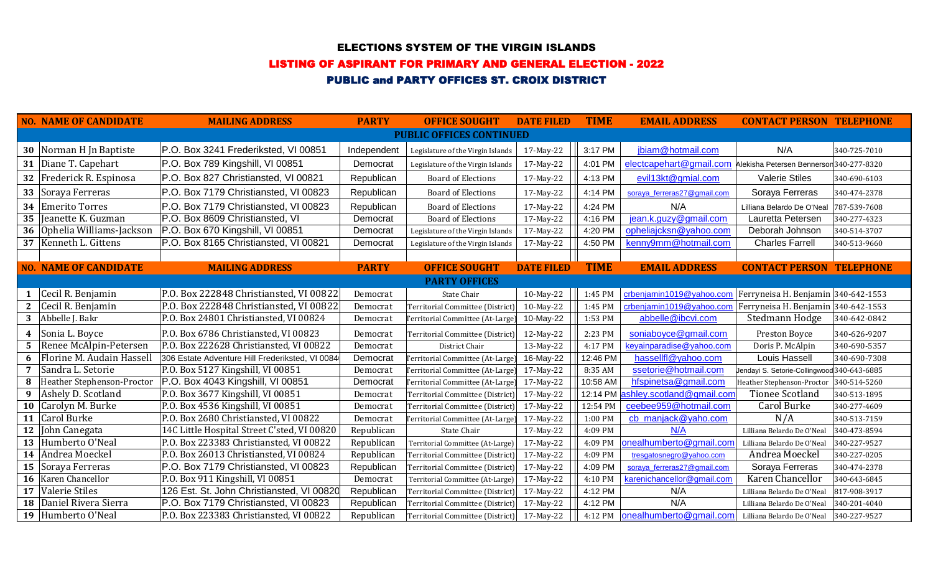### ELECTIONS SYSTEM OF THE VIRGIN ISLANDS

# LISTING OF ASPIRANT FOR PRIMARY AND GENERAL ELECTION - 2022

# PUBLIC and PARTY OFFICES ST. CROIX DISTRICT

|                                 | <b>NO. NAME OF CANDIDATE</b>      | <b>MAILING ADDRESS</b>                          | <b>PARTY</b> | <b>OFFICE SOUGHT</b>              | <b>DATE FILED</b> | <b>TIME</b> | <b>EMAIL ADDRESS</b>                                             | <b>CONTACT PERSON TELEPHONE</b>             |              |
|---------------------------------|-----------------------------------|-------------------------------------------------|--------------|-----------------------------------|-------------------|-------------|------------------------------------------------------------------|---------------------------------------------|--------------|
| <b>PUBLIC OFFICES CONTINUED</b> |                                   |                                                 |              |                                   |                   |             |                                                                  |                                             |              |
|                                 | 30   Norman H Jn Baptiste         | P.O. Box 3241 Frederiksted, VI 00851            | Independent  | Legislature of the Virgin Islands | 17-May-22         | 3:17 PM     | jbiam@hotmail.com                                                | N/A                                         | 340-725-7010 |
| 31                              | Diane T. Capehart                 | P.O. Box 789 Kingshill, VI 00851                | Democrat     | Legislature of the Virgin Islands | 17-May-22         | 4:01 PM     | electcapehart@gmail.com Alekisha Petersen Bennersor 340-277-8320 |                                             |              |
| 32                              | Frederick R. Espinosa             | P.O. Box 827 Christiansted, VI 00821            | Republican   | <b>Board of Elections</b>         | 17-May-22         | 4:13 PM     | evil13kt@gmial.com                                               | <b>Valerie Stiles</b>                       | 340-690-6103 |
| 33                              | Soraya Ferreras                   | P.O. Box 7179 Christiansted, VI 00823           | Republican   | <b>Board of Elections</b>         | 17-May-22         | 4:14 PM     | soraya_ferreras27@gmail.com                                      | Soraya Ferreras                             | 340-474-2378 |
| 34                              | <b>Emerito Torres</b>             | P.O. Box 7179 Christiansted, VI 00823           | Republican   | <b>Board of Elections</b>         | 17-May-22         | 4:24 PM     | N/A                                                              | Lilliana Belardo De O'Neal                  | 787-539-7608 |
| 35                              | Jeanette K. Guzman                | P.O. Box 8609 Christiansted, VI                 | Democrat     | <b>Board of Elections</b>         | 17-May-22         | 4:16 PM     | jean.k.guzy@gmail.com                                            | Lauretta Petersen                           | 340-277-4323 |
| 36                              | Ophelia Williams-Jackson          | P.O. Box 670 Kingshill, VI 00851                | Democrat     | Legislature of the Virgin Islands | 17-May-22         | 4:20 PM     | opheliajcksn@yahoo.com                                           | Deborah Johnson                             | 340-514-3707 |
| 37                              | Kenneth L. Gittens                | P.O. Box 8165 Christiansted, VI 00821           | Democrat     | Legislature of the Virgin Islands | 17-May-22         | 4:50 PM     | kenny9mm@hotmail.com                                             | <b>Charles Farrell</b>                      | 340-513-9660 |
|                                 |                                   |                                                 |              |                                   |                   |             |                                                                  |                                             |              |
|                                 | <b>NO. NAME OF CANDIDATE</b>      | <b>MAILING ADDRESS</b>                          | <b>PARTY</b> | <b>OFFICE SOUGHT</b>              | <b>DATE FILED</b> | <b>TIME</b> | <b>EMAIL ADDRESS</b>                                             | <b>CONTACT PERSON TELEPHONE</b>             |              |
|                                 |                                   |                                                 |              | <b>PARTY OFFICES</b>              |                   |             |                                                                  |                                             |              |
|                                 | Cecil R. Benjamin                 | P.O. Box 222848 Christiansted, VI 00822         | Democrat     | State Chair                       | 10-May-22         | 1:45 PM     | crbenjamin1019@yahoo.com                                         | Ferryneisa H. Benjamin 340-642-1553         |              |
| $\mathbf{2}$                    | Cecil R. Benjamin                 | P.O. Box 222848 Christiansted, VI 00822         | Democrat     | Territorial Committee (District)  | 10-May-22         | 1:45 PM     | crbenjamin1019@yahoo.com                                         | Ferryneisa H. Benjamin 340-642-1553         |              |
| 3                               | Abbelle J. Bakr                   | P.O. Box 24801 Christiansted, VI 00824          | Democrat     | Territorial Committee (At-Large)  | 10-May-22         | 1:53 PM     | abbelle@ibcvi.com                                                | Stedmann Hodge                              | 340-642-0842 |
| 4                               | Sonia L. Boyce                    | P.O. Box 6786 Christiansted, VI 00823           | Democrat     | Territorial Committee (District)  | 12-May-22         | 2:23 PM     | soniaboyce@gmail.com                                             | Preston Boyce                               | 340-626-9207 |
| -5                              | Renee McAlpin-Petersen            | P.O. Box 222628 Christiansted, VI 00822         | Democrat     | District Chair                    | 13-May-22         | 4:17 PM     | keyainparadise@yahoo.com                                         | Doris P. McAlpin                            | 340-690-5357 |
| 6                               | Florine M. Audain Hassell         | 306 Estate Adventure Hill Frederiksted, VI 0084 | Democrat     | Territorial Committee (At-Large)  | 16-May-22         | 12:46 PM    | hassellfl@yahoo.com                                              | Louis Hassell                               | 340-690-7308 |
| 7                               | Sandra L. Setorie                 | P.O. Box 5127 Kingshill, VI 00851               | Democrat     | Territorial Committee (At-Large   | 17-May-22         | 8:35 AM     | ssetorie@hotmail.com                                             | Jendayi S. Setorie-Collingwood 340-643-6885 |              |
|                                 | <b>Heather Stephenson-Proctor</b> | P.O. Box 4043 Kingshill, VI 00851               | Democrat     | Territorial Committee (At-Large)  | 17-May-22         | 10:58 AM    | hfspinetsa@gmail.com                                             | Heather Stephenson-Proctor                  | 340-514-5260 |
| 9                               | Ashely D. Scotland                | P.O. Box 3677 Kingshill, VI 00851               | Democrat     | Territorial Committee (District)  | 17-May-22         | 12:14 PM    | ashley.scotland@gmail.com                                        | <b>Tionee Scotland</b>                      | 340-513-1895 |
| 10                              | Carolyn M. Burke                  | P.O. Box 4536 Kingshill, VI 00851               | Democrat     | Territorial Committee (District)  | 17-May-22         | 12:54 PM    | ceebee959@hotmail.com                                            | Carol Burke                                 | 340-277-4609 |
| <b>11</b>                       | Carol Burke                       | P.O. Box 2680 Christiansted, VI 00822           | Democrat     | Territorial Committee (At-Large)  | 17-May-22         | 1:00 PM     | cb manjack@yaho.com                                              | N/A                                         | 340-513-7159 |
| 12                              | John Canegata                     | 14C Little Hospital Street C'sted, VI 00820     | Republican   | State Chair                       | 17-May-22         | 4:09 PM     | N/A                                                              | Lilliana Belardo De O'Neal                  | 340-473-8594 |
| 13                              | Humberto O'Neal                   | P.O. Box 223383 Christiansted, VI 00822         | Republican   | Territorial Committee (At-Large)  | 17-May-22         | 4:09 PM     | onealhumberto@gmail.com                                          | Lilliana Belardo De O'Neal                  | 340-227-9527 |
|                                 | 14 Andrea Moeckel                 | P.O. Box 26013 Christiansted, VI 00824          | Republican   | Territorial Committee (District)  | 17-May-22         | 4:09 PM     | tresgatosnegro@yahoo.com                                         | Andrea Moeckel                              | 340-227-0205 |
| 15                              | Soraya Ferreras                   | P.O. Box 7179 Christiansted, VI 00823           | Republican   | Territorial Committee (District)  | 17-May-22         | 4:09 PM     | soraya_ferreras27@gmail.com                                      | Soraya Ferreras                             | 340-474-2378 |
| 16                              | Karen Chancellor                  | P.O. Box 911 Kingshill, VI 00851                | Democrat     | Territorial Committee (At-Large)  | 17-May-22         | 4:10 PM     | karenichancellor@gmail.com                                       | Karen Chancellor                            | 340-643-6845 |
| 17                              | Valerie Stiles                    | 126 Est. St. John Christiansted, VI 00820       | Republican   | Territorial Committee (District)  | 17-May-22         | 4:12 PM     | N/A                                                              | Lilliana Belardo De O'Neal                  | 817-908-3917 |
| <b>18</b>                       | Daniel Rivera Sierra              | P.O. Box 7179 Christiansted, VI 00823           | Republican   | Territorial Committee (District)  | 17-May-22         | 4:12 PM     | N/A                                                              | Lilliana Belardo De O'Neal                  | 340-201-4040 |
|                                 | 19 Humberto O'Neal                | P.O. Box 223383 Christiansted, VI 00822         | Republican   | Territorial Committee (District)  | 17-May-22         | 4:12 PM     | onealhumberto@gmail.com                                          | Lilliana Belardo De O'Neal                  | 340-227-9527 |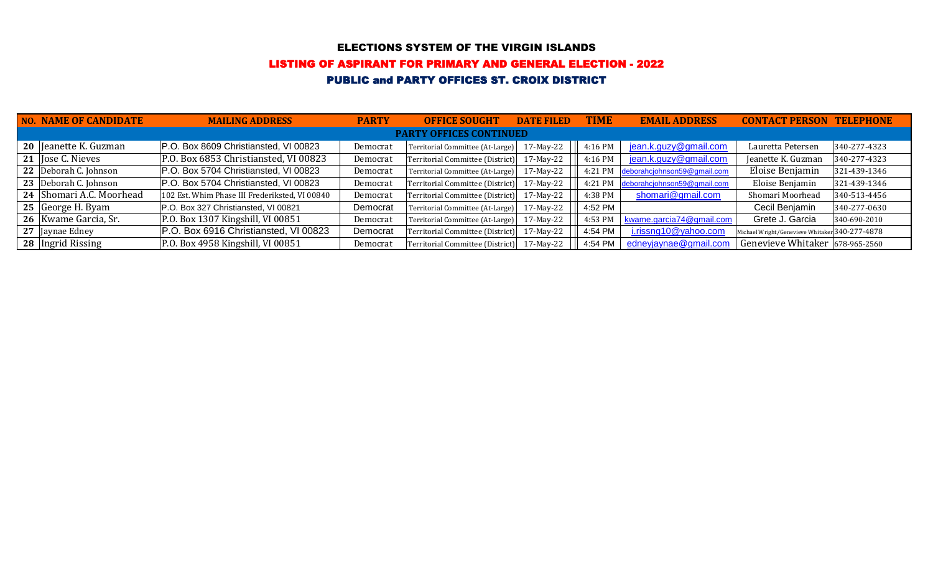### ELECTIONS SYSTEM OF THE VIRGIN ISLANDS

#### LISTING OF ASPIRANT FOR PRIMARY AND GENERAL ELECTION - 2022

# PUBLIC and PARTY OFFICES ST. CROIX DISTRICT

|                                | <b>NO. NAME OF CANDIDATE</b> | <b>MAILING ADDRESS</b>                         | <b>PARTY</b> | <b>OFFICE SOUGHT</b>             | <b>DATE FILED</b> | <b>TIME</b> | <b>EMAIL ADDRESS</b>        | <b>CONTACT PERSON</b>                          | <b>TELEPHONE</b> |  |
|--------------------------------|------------------------------|------------------------------------------------|--------------|----------------------------------|-------------------|-------------|-----------------------------|------------------------------------------------|------------------|--|
| <b>PARTY OFFICES CONTINUED</b> |                              |                                                |              |                                  |                   |             |                             |                                                |                  |  |
|                                | 20 Jeanette K. Guzman        | P.O. Box 8609 Christiansted, VI 00823          | Democrat     | Territorial Committee (At-Large) | 17-May-22         | 4:16 PM     | jean.k.guzy@gmail.com       | Lauretta Petersen                              | 340-277-4323     |  |
|                                | 21  Jose C. Nieves           | P.O. Box 6853 Christiansted, VI 00823          | Democrat     | Territorial Committee (District) | 17-May-22         | 4:16 PM     | jean.k.guzy@gmail.com       | Jeanette K. Guzman                             | 340-277-4323     |  |
|                                | 22 Deborah C. Johnson        | P.O. Box 5704 Christiansted, VI 00823          | Democrat     | Territorial Committee (At-Large) | 17-May-22         | 4:21 PM     | deborahcjohnson59@gmail.com | Eloise Benjamin                                | 321-439-1346     |  |
|                                | 23 Deborah C. Johnson        | P.O. Box 5704 Christiansted, VI 00823          | Democrat     | Territorial Committee (District) | 17-May-22         | 4:21 PM     | deborahcjohnson59@gmail.com | Eloise Benjamin                                | 321-439-1346     |  |
|                                | 24 Shomari A.C. Moorhead     | 102 Est. Whim Phase III Frederiksted, VI 00840 | Democrat     | Territorial Committee (District) | 17-May-22         | 4:38 PM     | shomari@gmail.com           | Shomari Moorhead                               | 340-513-4456     |  |
|                                | 25 George H. Byam            | P.O. Box 327 Christiansted, VI 00821           | Democrat     | Territorial Committee (At-Large) | 17-May-22         | 4:52 PM     |                             | Cecil Benjamin                                 | 340-277-0630     |  |
|                                | 26   Kwame Garcia, Sr.       | P.O. Box 1307 Kingshill, VI 00851              | Democrat     | Territorial Committee (At-Large) | 17-May-22         | 4:53 PM     | kwame.garcia74@gmail.com    | Grete J. Garcia                                | 340-690-2010     |  |
|                                | 27 Jaynae Edney              | P.O. Box 6916 Christiansted, VI 00823          | Democrat     | Territorial Committee (District) | 17-May-22         | 4:54 PM     | i.rissng10@yahoo.com        | Michael Wright/Genevieve Whitaker 340-277-4878 |                  |  |
|                                | 28   Ingrid Rissing          | P.O. Box 4958 Kingshill, VI 00851              | Democrat     | Territorial Committee (District) | 17-May-22         | 4:54 PM     | edneyjaynae@gmail.com       | Genevieve Whitaker 678-965-2560                |                  |  |